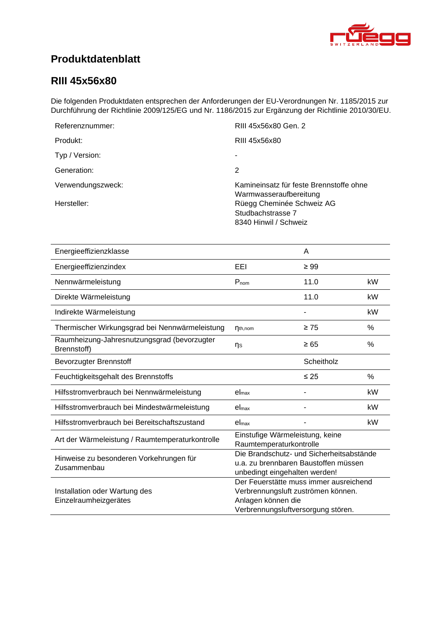<span id="page-0-4"></span><span id="page-0-3"></span><span id="page-0-2"></span><span id="page-0-1"></span>

## **Produktdatenblatt**

### <span id="page-0-0"></span>**RIII 45x56x80**

Die folgenden Produktdaten entsprechen der Anforderungen der EU-Verordnungen Nr. 1185/2015 zur Durchführung der Richtlinie 2009/125/EG und Nr. 1186/2015 zur Ergänzung der Richtlinie 2010/30/EU.

| Referenznummer:   | RIII 45x56x80 Gen. 2                                                    |
|-------------------|-------------------------------------------------------------------------|
| Produkt:          | RIII 45x56x80                                                           |
| Typ / Version:    |                                                                         |
| Generation:       | 2                                                                       |
| Verwendungszweck: | Kamineinsatz für feste Brennstoffe ohne<br>Warmwasseraufbereitung       |
| Hersteller:       | Rüegg Cheminée Schweiz AG<br>Studbachstrasse 7<br>8340 Hinwil / Schweiz |

<span id="page-0-8"></span><span id="page-0-7"></span><span id="page-0-6"></span><span id="page-0-5"></span>

| Energieeffizienzklasse                                     |                                                                                                                                          | A          |      |
|------------------------------------------------------------|------------------------------------------------------------------------------------------------------------------------------------------|------------|------|
| Energieeffizienzindex                                      | EEI                                                                                                                                      | $\geq 99$  |      |
| Nennwärmeleistung                                          | $P_{nom}$                                                                                                                                | 11.0       | kW   |
| Direkte Wärmeleistung                                      |                                                                                                                                          | 11.0       | kW   |
| Indirekte Wärmeleistung                                    |                                                                                                                                          |            | kW   |
| Thermischer Wirkungsgrad bei Nennwärmeleistung             | $\eta_{th,nom}$                                                                                                                          | $\geq 75$  | $\%$ |
| Raumheizung-Jahresnutzungsgrad (bevorzugter<br>Brennstoff) | ηs                                                                                                                                       | $\geq 65$  | $\%$ |
| <b>Bevorzugter Brennstoff</b>                              |                                                                                                                                          | Scheitholz |      |
| Feuchtigkeitsgehalt des Brennstoffs                        |                                                                                                                                          | $\leq 25$  | %    |
| Hilfsstromverbrauch bei Nennwärmeleistung                  | el <sub>max</sub>                                                                                                                        |            | kW   |
| Hilfsstromverbrauch bei Mindestwärmeleistung               | el <sub>max</sub>                                                                                                                        |            | kW   |
| Hilfsstromverbrauch bei Bereitschaftszustand               | el <sub>max</sub>                                                                                                                        |            | kW   |
| Art der Wärmeleistung / Raumtemperaturkontrolle            | Einstufige Wärmeleistung, keine<br>Raumtemperaturkontrolle                                                                               |            |      |
| Hinweise zu besonderen Vorkehrungen für<br>Zusammenbau     | Die Brandschutz- und Sicherheitsabstände<br>u.a. zu brennbaren Baustoffen müssen<br>unbedingt eingehalten werden!                        |            |      |
| Installation oder Wartung des<br>Einzelraumheizgerätes     | Der Feuerstätte muss immer ausreichend<br>Verbrennungsluft zuströmen können.<br>Anlagen können die<br>Verbrennungsluftversorgung stören. |            |      |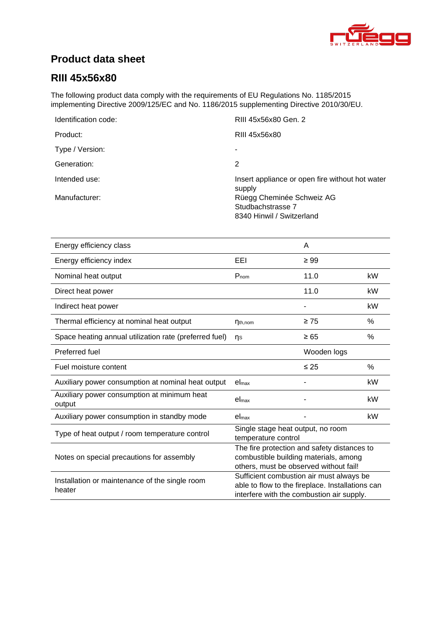

## **Product data sheet**

### **RIII [45x56x80](#page-0-0)**

The following product data comply with the requirements of EU Regulations No. 1185/2015 implementing Directive 2009/125/EC and No. 1186/2015 supplementing Directive 2010/30/EU.

| Identification code: | RIII 45x56x80 Gen. 2                                      |
|----------------------|-----------------------------------------------------------|
| Product:             | RIII 45x56x80                                             |
| Type / Version:      | ٠                                                         |
| Generation:          | 2                                                         |
| Intended use:        | Insert appliance or open fire without hot water<br>supply |
| Manufacturer:        | Rüegg Cheminée Schweiz AG                                 |
|                      | Studbachstrasse 7                                         |
|                      | 8340 Hinwil / Switzerland                                 |

| Energy efficiency class                                  |                                                                                                                                           | A           |      |
|----------------------------------------------------------|-------------------------------------------------------------------------------------------------------------------------------------------|-------------|------|
| Energy efficiency index                                  | EEL                                                                                                                                       | $\geq 99$   |      |
| Nominal heat output                                      | $P_{nom}$                                                                                                                                 | 11.0        | kW   |
| Direct heat power                                        |                                                                                                                                           | 11.0        | kW   |
| Indirect heat power                                      |                                                                                                                                           |             | kW   |
| Thermal efficiency at nominal heat output                | $\eta_{th,nom}$                                                                                                                           | $\geq 75$   | $\%$ |
| Space heating annual utilization rate (preferred fuel)   | ns                                                                                                                                        | $\geq 65$   | %    |
| Preferred fuel                                           |                                                                                                                                           | Wooden logs |      |
| Fuel moisture content                                    |                                                                                                                                           | $\leq 25$   | $\%$ |
| Auxiliary power consumption at nominal heat output       | $el_{\text{max}}$                                                                                                                         |             | kW   |
| Auxiliary power consumption at minimum heat<br>output    | $el_{max}$                                                                                                                                |             | kW   |
| Auxiliary power consumption in standby mode              | el <sub>max</sub>                                                                                                                         |             | kW   |
| Type of heat output / room temperature control           | Single stage heat output, no room<br>temperature control                                                                                  |             |      |
| Notes on special precautions for assembly                | The fire protection and safety distances to<br>combustible building materials, among<br>others, must be observed without fail!            |             |      |
| Installation or maintenance of the single room<br>heater | Sufficient combustion air must always be<br>able to flow to the fireplace. Installations can<br>interfere with the combustion air supply. |             |      |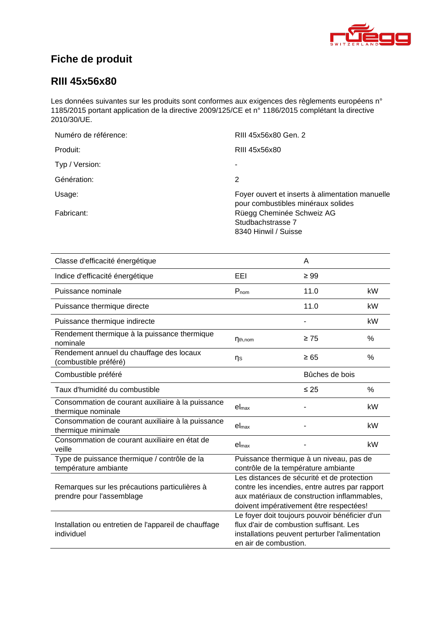

## **Fiche de produit**

### **RIII [45x56x80](#page-0-0)**

Les données suivantes sur les produits sont conformes aux exigences des règlements européens n° 1185/2015 portant application de la directive 2009/125/CE et n° 1186/2015 complétant la directive 2010/30/UE.

| Numéro de référence: | RIII 45x56x80 Gen. 2                                                                  |
|----------------------|---------------------------------------------------------------------------------------|
| Produit:             | RIII 45x56x80                                                                         |
| Typ / Version:       | ۰                                                                                     |
| Génération:          | 2                                                                                     |
| Usage:               | Foyer ouvert et inserts à alimentation manuelle<br>pour combustibles minéraux solides |
| Fabricant:           | Rüegg Cheminée Schweiz AG<br>Studbachstrasse 7<br>8340 Hinwil / Suisse                |

| Classe d'efficacité énergétique                                            |                                                                                                                                                                                        | A              |      |
|----------------------------------------------------------------------------|----------------------------------------------------------------------------------------------------------------------------------------------------------------------------------------|----------------|------|
| Indice d'efficacité énergétique                                            | EEL                                                                                                                                                                                    | $\geq 99$      |      |
| Puissance nominale                                                         | $P_{nom}$                                                                                                                                                                              | 11.0           | kW   |
| Puissance thermique directe                                                |                                                                                                                                                                                        | 11.0           | kW   |
| Puissance thermique indirecte                                              |                                                                                                                                                                                        |                | kW   |
| Rendement thermique à la puissance thermique<br>nominale                   | $\eta_{th,nom}$                                                                                                                                                                        | $\geq 75$      | $\%$ |
| Rendement annuel du chauffage des locaux<br>(combustible préféré)          | ηs                                                                                                                                                                                     | $\geq 65$      | %    |
| Combustible préféré                                                        |                                                                                                                                                                                        | Bûches de bois |      |
| Taux d'humidité du combustible                                             |                                                                                                                                                                                        | $\leq 25$      | $\%$ |
| Consommation de courant auxiliaire à la puissance<br>thermique nominale    | el <sub>max</sub>                                                                                                                                                                      |                | kW   |
| Consommation de courant auxiliaire à la puissance<br>thermique minimale    | el <sub>max</sub>                                                                                                                                                                      |                | kW   |
| Consommation de courant auxiliaire en état de<br>veille                    | el <sub>max</sub>                                                                                                                                                                      |                | kW   |
| Type de puissance thermique / contrôle de la<br>température ambiante       | Puissance thermique à un niveau, pas de<br>contrôle de la température ambiante                                                                                                         |                |      |
| Remarques sur les précautions particulières à<br>prendre pour l'assemblage | Les distances de sécurité et de protection<br>contre les incendies, entre autres par rapport<br>aux matériaux de construction inflammables,<br>doivent impérativement être respectées! |                |      |
| Installation ou entretien de l'appareil de chauffage<br>individuel         | Le foyer doit toujours pouvoir bénéficier d'un<br>flux d'air de combustion suffisant. Les<br>installations peuvent perturber l'alimentation<br>en air de combustion.                   |                |      |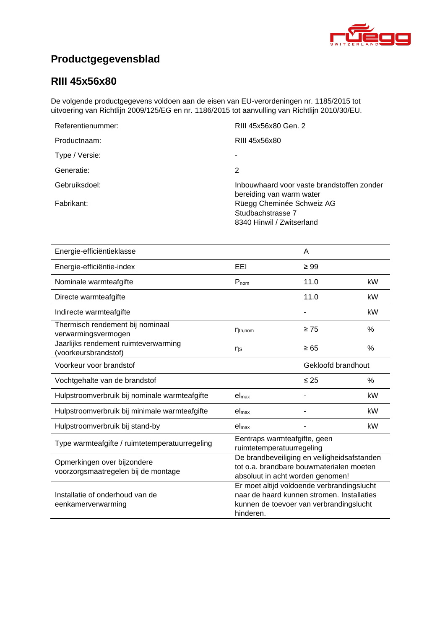

# **Productgegevensblad**

### **RIII [45x56x80](#page-0-0)**

De volgende productgegevens voldoen aan de eisen van EU-verordeningen nr. 1185/2015 tot uitvoering van Richtlijn 2009/125/EG en nr. 1186/2015 tot aanvulling van Richtlijn 2010/30/EU.

| Referentienummer: | RIII 45x56x80 Gen. 2                                                        |
|-------------------|-----------------------------------------------------------------------------|
| Productnaam:      | RIII 45x56x80                                                               |
| Type / Versie:    |                                                                             |
| Generatie:        | 2                                                                           |
| Gebruiksdoel:     | Inbouwhaard voor vaste brandstoffen zonder<br>bereiding van warm water      |
| Fabrikant:        | Rüegg Cheminée Schweiz AG<br>Studbachstrasse 7<br>8340 Hinwil / Zwitserland |

| Energie-efficiëntieklasse                                          |                                                                                                                                                  | A         |               |
|--------------------------------------------------------------------|--------------------------------------------------------------------------------------------------------------------------------------------------|-----------|---------------|
| Energie-efficiëntie-index                                          | EEI                                                                                                                                              | $\geq 99$ |               |
| Nominale warmteafgifte                                             | $P_{nom}$                                                                                                                                        | 11.0      | kW            |
| Directe warmteafgifte                                              |                                                                                                                                                  | 11.0      | kW            |
| Indirecte warmteafgifte                                            |                                                                                                                                                  |           | kW            |
| Thermisch rendement bij nominaal<br>verwarmingsvermogen            | $\eta_{th,nom}$                                                                                                                                  | $\geq 75$ | $\frac{0}{0}$ |
| Jaarlijks rendement ruimteverwarming<br>(voorkeursbrandstof)       | ηs                                                                                                                                               | $\geq 65$ | $\%$          |
| Voorkeur voor brandstof                                            | Gekloofd brandhout                                                                                                                               |           |               |
| Vochtgehalte van de brandstof                                      |                                                                                                                                                  | $\leq 25$ | $\frac{0}{0}$ |
| Hulpstroomverbruik bij nominale warmteafgifte                      | el <sub>max</sub>                                                                                                                                |           | kW            |
| Hulpstroomverbruik bij minimale warmteafgifte                      | el <sub>max</sub>                                                                                                                                |           | kW            |
| Hulpstroomverbruik bij stand-by                                    | el <sub>max</sub>                                                                                                                                |           | kW            |
| Type warmteafgifte / ruimtetemperatuurregeling                     | Eentraps warmteafgifte, geen<br>ruimtetemperatuurregeling                                                                                        |           |               |
| Opmerkingen over bijzondere<br>voorzorgsmaatregelen bij de montage | De brandbeveiliging en veiligheidsafstanden<br>tot o.a. brandbare bouwmaterialen moeten<br>absoluut in acht worden genomen!                      |           |               |
| Installatie of onderhoud van de<br>eenkamerverwarming              | Er moet altijd voldoende verbrandingslucht<br>naar de haard kunnen stromen. Installaties<br>kunnen de toevoer van verbrandingslucht<br>hinderen. |           |               |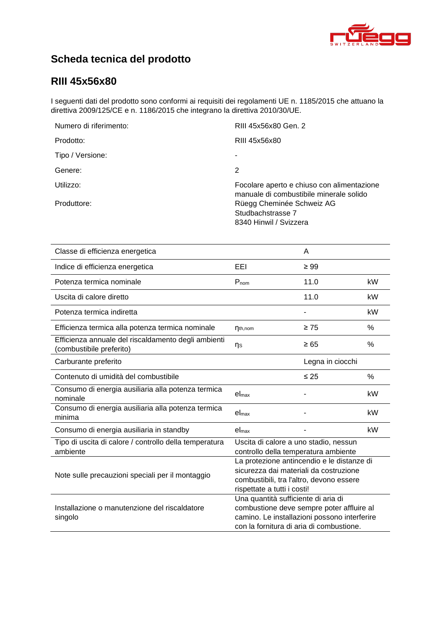

# **Scheda tecnica del prodotto**

### **RIII [45x56x80](#page-0-0)**

I seguenti dati del prodotto sono conformi ai requisiti dei regolamenti UE n. 1185/2015 che attuano la direttiva 2009/125/CE e n. 1186/2015 che integrano la direttiva 2010/30/UE.

| Numero di riferimento: | RIII 45x56x80 Gen. 2                                                                  |
|------------------------|---------------------------------------------------------------------------------------|
| Prodotto:              | RIII 45x56x80                                                                         |
| Tipo / Versione:       |                                                                                       |
| Genere:                | 2                                                                                     |
| Utilizzo:              | Focolare aperto e chiuso con alimentazione<br>manuale di combustibile minerale solido |
| Produttore:            | Rüegg Cheminée Schweiz AG<br>Studbachstrasse 7<br>8340 Hinwil / Svizzera              |

| Classe di efficienza energetica                                                 |                                                                                                                                                                              | A         |      |
|---------------------------------------------------------------------------------|------------------------------------------------------------------------------------------------------------------------------------------------------------------------------|-----------|------|
| Indice di efficienza energetica                                                 | EEL                                                                                                                                                                          | $\geq 99$ |      |
| Potenza termica nominale                                                        | Pnom                                                                                                                                                                         | 11.0      | kW   |
| Uscita di calore diretto                                                        |                                                                                                                                                                              | 11.0      | kW   |
| Potenza termica indiretta                                                       |                                                                                                                                                                              |           | kW   |
| Efficienza termica alla potenza termica nominale                                | $\eta_{th,nom}$                                                                                                                                                              | $\geq 75$ | %    |
| Efficienza annuale del riscaldamento degli ambienti<br>(combustibile preferito) | ηs                                                                                                                                                                           | $\geq 65$ | $\%$ |
| Carburante preferito                                                            | Legna in ciocchi                                                                                                                                                             |           |      |
| Contenuto di umidità del combustibile                                           |                                                                                                                                                                              | $\leq 25$ | $\%$ |
| Consumo di energia ausiliaria alla potenza termica<br>nominale                  | el <sub>max</sub>                                                                                                                                                            |           | kW   |
| Consumo di energia ausiliaria alla potenza termica<br>minima                    | el <sub>max</sub>                                                                                                                                                            |           | kW   |
| Consumo di energia ausiliaria in standby                                        | el <sub>max</sub>                                                                                                                                                            |           | kW   |
| Tipo di uscita di calore / controllo della temperatura<br>ambiente              | Uscita di calore a uno stadio, nessun<br>controllo della temperatura ambiente                                                                                                |           |      |
| Note sulle precauzioni speciali per il montaggio                                | La protezione antincendio e le distanze di<br>sicurezza dai materiali da costruzione<br>combustibili, tra l'altro, devono essere<br>rispettate a tutti i costi!              |           |      |
| Installazione o manutenzione del riscaldatore<br>singolo                        | Una quantità sufficiente di aria di<br>combustione deve sempre poter affluire al<br>camino. Le installazioni possono interferire<br>con la fornitura di aria di combustione. |           |      |